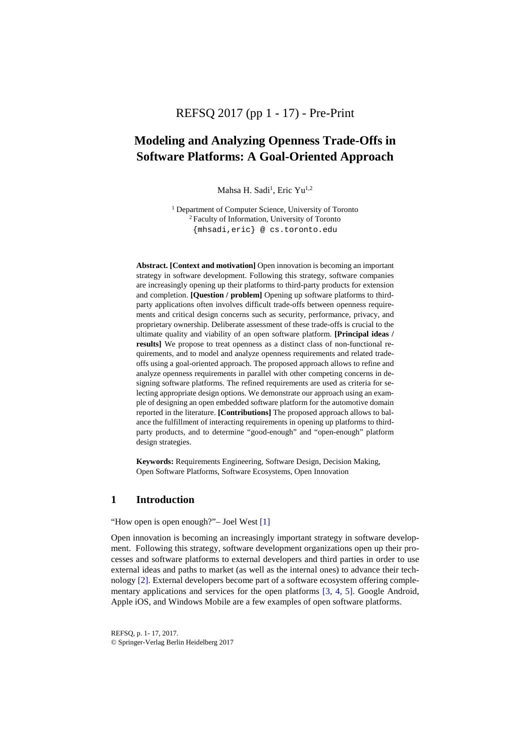# REFSQ 2017 (pp 1 - 17) - Pre-Print

# **Modeling and Analyzing Openness Trade-Offs in Software Platforms: A Goal-Oriented Approach**

Mahsa H. Sadi<sup>1</sup>, Eric Yu<sup>1,2</sup>

<sup>1</sup> Department of Computer Science, University of Toronto <sup>2</sup>Faculty of Information, University of Toronto {mhsadi,eric} @ cs.toronto.edu

**Abstract. [Context and motivation]** Open innovation is becoming an important strategy in software development. Following this strategy, software companies are increasingly opening up their platforms to third-party products for extension and completion. **[Question / problem]** Opening up software platforms to thirdparty applications often involves difficult trade-offs between openness requirements and critical design concerns such as security, performance, privacy, and proprietary ownership. Deliberate assessment of these trade-offs is crucial to the ultimate quality and viability of an open software platform. **[Principal ideas / results]** We propose to treat openness as a distinct class of non-functional requirements, and to model and analyze openness requirements and related tradeoffs using a goal-oriented approach. The proposed approach allows to refine and analyze openness requirements in parallel with other competing concerns in designing software platforms. The refined requirements are used as criteria for selecting appropriate design options. We demonstrate our approach using an example of designing an open embedded software platform for the automotive domain reported in the literature. **[Contributions]** The proposed approach allows to balance the fulfillment of interacting requirements in opening up platforms to thirdparty products, and to determine "good-enough" and "open-enough" platform design strategies.

**Keywords:** Requirements Engineering, Software Design, Decision Making, Open Software Platforms, Software Ecosystems, Open Innovation

## **1 Introduction**

"How open is open enough?"– Joel West [1]

Open innovation is becoming an increasingly important strategy in software development. Following this strategy, software development organizations open up their processes and software platforms to external developers and third parties in order to use external ideas and paths to market (as well as the internal ones) to advance their technology [2]. External developers become part of a software ecosystem offering complementary applications and services for the open platforms [3, 4, 5]. Google Android, Apple iOS, and Windows Mobile are a few examples of open software platforms.

REFSQ, p. 1- 17, 2017. © Springer-Verlag Berlin Heidelberg 2017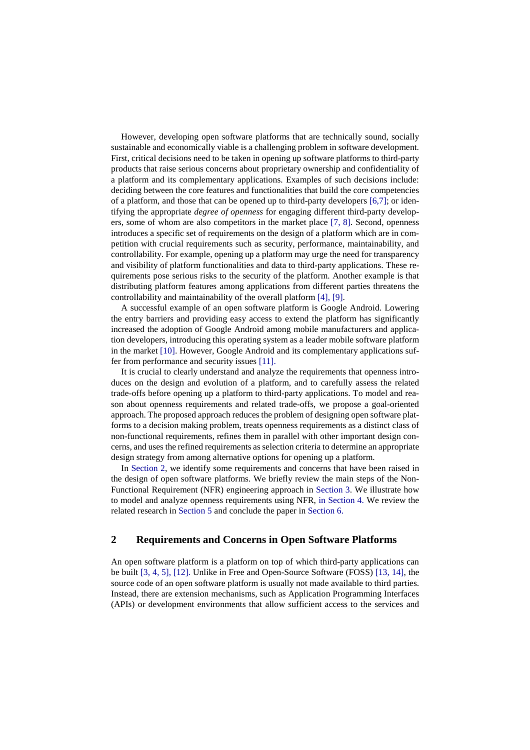However, developing open software platforms that are technically sound, socially sustainable and economically viable is a challenging problem in software development. First, critical decisions need to be taken in opening up software platforms to third-party products that raise serious concerns about proprietary ownership and confidentiality of a platform and its complementary applications. Examples of such decisions include: deciding between the core features and functionalities that build the core competencies of a platform, and those that can be opened up to third-party developers [6,7]; or identifying the appropriate *degree of openness* for engaging different third-party developers, some of whom are also competitors in the market place [7, 8]. Second, openness introduces a specific set of requirements on the design of a platform which are in competition with crucial requirements such as security, performance, maintainability, and controllability. For example, opening up a platform may urge the need for transparency and visibility of platform functionalities and data to third-party applications. These requirements pose serious risks to the security of the platform. Another example is that distributing platform features among applications from different parties threatens the controllability and maintainability of the overall platform [4], [9].

A successful example of an open software platform is Google Android. Lowering the entry barriers and providing easy access to extend the platform has significantly increased the adoption of Google Android among mobile manufacturers and application developers, introducing this operating system as a leader mobile software platform in the market [10]. However, Google Android and its complementary applications suffer from performance and security issues [11].

It is crucial to clearly understand and analyze the requirements that openness introduces on the design and evolution of a platform, and to carefully assess the related trade-offs before opening up a platform to third-party applications. To model and reason about openness requirements and related trade-offs, we propose a goal-oriented approach. The proposed approach reduces the problem of designing open software platforms to a decision making problem, treats openness requirements as a distinct class of non-functional requirements, refines them in parallel with other important design concerns, and uses the refined requirements as selection criteria to determine an appropriate design strategy from among alternative options for opening up a platform.

In Section 2, we identify some requirements and concerns that have been raised in the design of open software platforms. We briefly review the main steps of the Non-Functional Requirement (NFR) engineering approach in Section 3. We illustrate how to model and analyze openness requirements using NFR, in Section 4. We review the related research in Section 5 and conclude the paper in Section 6.

## **2 Requirements and Concerns in Open Software Platforms**

An open software platform is a platform on top of which third-party applications can be built [3, 4, 5], [12]. Unlike in Free and Open-Source Software (FOSS) [13, 14], the source code of an open software platform is usually not made available to third parties. Instead, there are extension mechanisms, such as Application Programming Interfaces (APIs) or development environments that allow sufficient access to the services and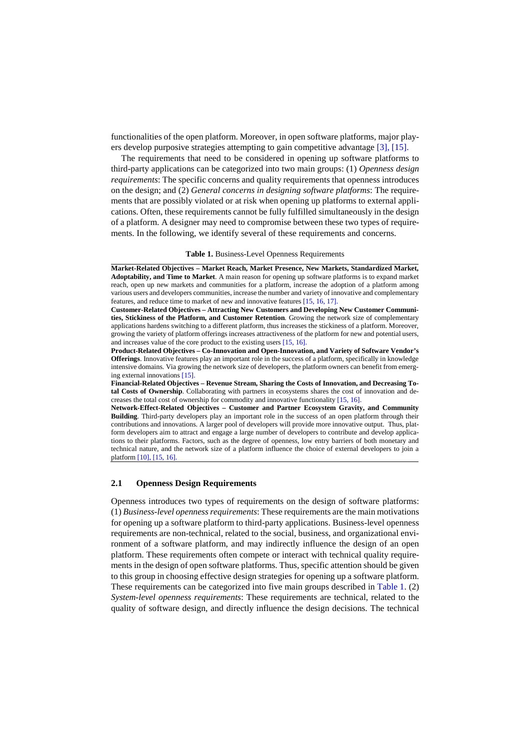functionalities of the open platform. Moreover, in open software platforms, major players develop purposive strategies attempting to gain competitive advantage [3], [15].

The requirements that need to be considered in opening up software platforms to third-party applications can be categorized into two main groups: (1) *Openness design requirements*: The specific concerns and quality requirements that openness introduces on the design; and (2) *General concerns in designing software platforms*: The requirements that are possibly violated or at risk when opening up platforms to external applications. Often, these requirements cannot be fully fulfilled simultaneously in the design of a platform. A designer may need to compromise between these two types of requirements. In the following, we identify several of these requirements and concerns.

#### **Table 1.** Business-Level Openness Requirements

**Market-Related Objectives – Market Reach, Market Presence, New Markets, Standardized Market, Adoptability, and Time to Market**. A main reason for opening up software platforms is to expand market reach, open up new markets and communities for a platform, increase the adoption of a platform among various users and developers communities, increase the number and variety of innovative and complementary features, and reduce time to market of new and innovative features [15, 16, 17].

**Customer-Related Objectives – Attracting New Customers and Developing New Customer Communities, Stickiness of the Platform, and Customer Retention***.* Growing the network size of complementary applications hardens switching to a different platform, thus increases the stickiness of a platform. Moreover, growing the variety of platform offerings increases attractiveness of the platform for new and potential users, and increases value of the core product to the existing users [15, 16].

**Product-Related Objectives – Co-Innovation and Open-Innovation, and Variety of Software Vendor's Offerings**. Innovative features play an important role in the success of a platform, specifically in knowledge intensive domains. Via growing the network size of developers, the platform owners can benefit from emerging external innovations [15].

**Financial-Related Objectives – Revenue Stream, Sharing the Costs of Innovation, and Decreasing Total Costs of Ownership**. Collaborating with partners in ecosystems shares the cost of innovation and decreases the total cost of ownership for commodity and innovative functionality [15, 16].

**Network-Effect-Related Objectives – Customer and Partner Ecosystem Gravity, and Community Building**. Third-party developers play an important role in the success of an open platform through their contributions and innovations. A larger pool of developers will provide more innovative output. Thus, platform developers aim to attract and engage a large number of developers to contribute and develop applications to their platforms. Factors, such as the degree of openness, low entry barriers of both monetary and technical nature, and the network size of a platform influence the choice of external developers to join a platform [10], [15, 16].

### **2.1 Openness Design Requirements**

Openness introduces two types of requirements on the design of software platforms: (1) *Business-level openness requirements*: These requirements are the main motivations for opening up a software platform to third-party applications. Business-level openness requirements are non-technical, related to the social, business, and organizational environment of a software platform, and may indirectly influence the design of an open platform. These requirements often compete or interact with technical quality requirements in the design of open software platforms. Thus, specific attention should be given to this group in choosing effective design strategies for opening up a software platform. These requirements can be categorized into five main groups described in Table 1. (2) *System-level openness requirements*: These requirements are technical, related to the quality of software design, and directly influence the design decisions. The technical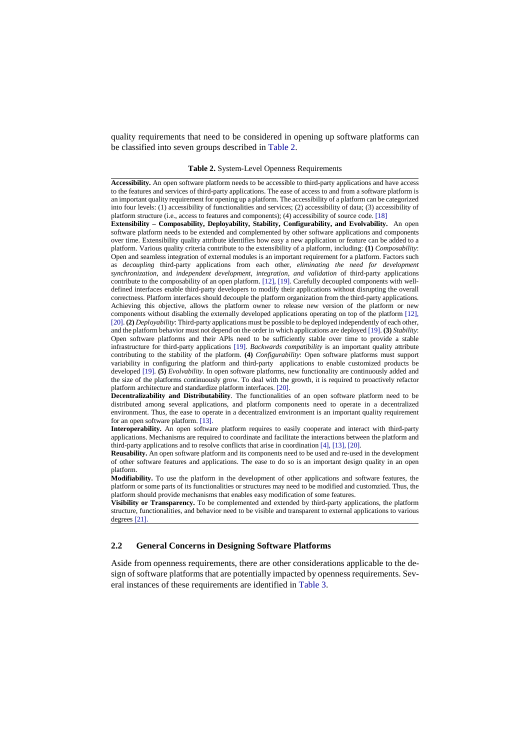quality requirements that need to be considered in opening up software platforms can be classified into seven groups described in Table 2.

#### **Table 2.** System-Level Openness Requirements

**Accessibility.** An open software platform needs to be accessible to third-party applications and have access to the features and services of third-party applications. The ease of access to and from a software platform is an important quality requirement for opening up a platform. The accessibility of a platform can be categorized into four levels: (1) accessibility of functionalities and services; (2) accessibility of data; (3) accessibility of platform structure (i.e., access to features and components); (4) accessibility of source code. [18]

**Extensibility – Composability, Deployability, Stability, Configurability, and Evolvability.** An open software platform needs to be extended and complemented by other software applications and components over time. Extensibility quality attribute identifies how easy a new application or feature can be added to a platform. Various quality criteria contribute to the extensibility of a platform, including: **(1)** *Composability*: Open and seamless integration of external modules is an important requirement for a platform. Factors such as *decoupling* third-party applications from each other, *eliminating the need for development synchronization*, and *independent development, integration, and validation* of third-party applications contribute to the composability of an open platform. [12], [19]. Carefully decoupled components with welldefined interfaces enable third-party developers to modify their applications without disrupting the overall correctness. Platform interfaces should decouple the platform organization from the third-party applications. Achieving this objective, allows the platform owner to release new version of the platform or new components without disabling the externally developed applications operating on top of the platform [12], [20]. **(2)** *Deployability*: Third-party applications must be possible to be deployed independently of each other, and the platform behavior must not depend on the order in which applications are deployed [19]. **(3)** *Stability*: Open software platforms and their APIs need to be sufficiently stable over time to provide a stable infrastructure for third-party applications [19]. *Backwards compatibility* is an important quality attribute contributing to the stability of the platform. **(4)** *Configurability*: Open software platforms must support variability in configuring the platform and third-party applications to enable customized products be developed [19]. **(5)** *Evolvability.* In open software platforms, new functionality are continuously added and the size of the platforms continuously grow. To deal with the growth, it is required to proactively refactor platform architecture and standardize platform interfaces. [20].

**Decentralizability and Distributability**. The functionalities of an open software platform need to be distributed among several applications, and platform components need to operate in a decentralized environment. Thus, the ease to operate in a decentralized environment is an important quality requirement for an open software platform. [13].

**Interoperability.** An open software platform requires to easily cooperate and interact with third-party applications. Mechanisms are required to coordinate and facilitate the interactions between the platform and third-party applications and to resolve conflicts that arise in coordination [4], [13], [20].

**Reusability.** An open software platform and its components need to be used and re-used in the development of other software features and applications. The ease to do so is an important design quality in an open platform.

**Modifiability.** To use the platform in the development of other applications and software features, the platform or some parts of its functionalities or structures may need to be modified and customzied. Thus, the platform should provide mechanisms that enables easy modification of some features.

**Visibility or Transparency.** To be complemented and extended by third-party applications, the platform structure, functionalities, and behavior need to be visible and transparent to external applications to various degrees [21].

### **2.2 General Concerns in Designing Software Platforms**

Aside from openness requirements, there are other considerations applicable to the design of software platforms that are potentially impacted by openness requirements. Several instances of these requirements are identified in Table 3.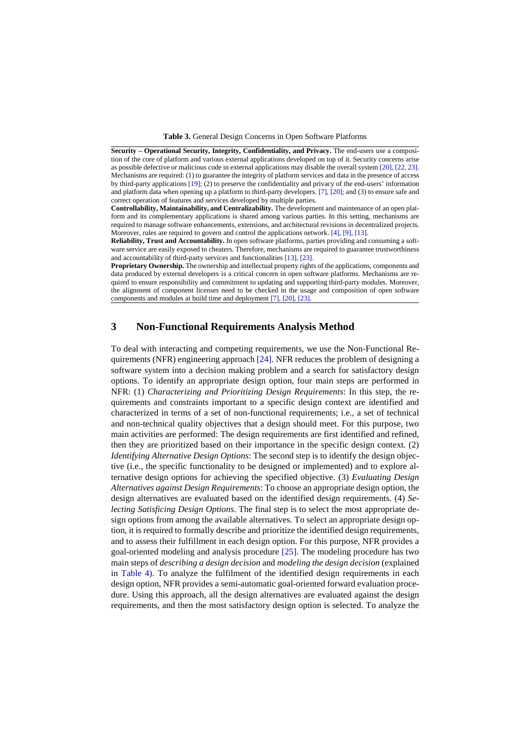**Security – Operational Security, Integrity, Confidentiality, and Privacy.** The end-users use a composition of the core of platform and various external applications developed on top of it. Security concerns arise as possible defective or malicious code in external applications may disable the overall system [20], [22, 23]. Mechanisms are required: (1) to guarantee the integrity of platform services and data in the presence of access by third-party applications [19]; (2) to preserve the confidentiality and privacy of the end-users' information and platform data when opening up a platform to third-party developers. [7], [20]; and (3) to ensure safe and correct operation of features and services developed by multiple parties.

**Controllability, Maintainability, and Centralizability.** The development and maintenance of an open platform and its complementary applications is shared among various parties. In this setting, mechanisms are required to manage software enhancements, extensions, and architectural revisions in decentralized projects. Moreover, rules are required to govern and control the applications network. [4], [9], [13].

**Reliability, Trust and Accountability.** In open software platforms, parties providing and consuming a software service are easily exposed to cheaters. Therefore, mechanisms are required to guarantee trustworthiness and accountability of third-party services and functionalities [13], [23].

**Proprietary Ownership.** The ownership and intellectual property rights of the applications, components and data produced by external developers is a critical concern in open software platforms. Mechanisms are required to ensure responsibility and commitment to updating and supporting third-party modules. Moreover, the alignment of component licenses need to be checked in the usage and composition of open software components and modules at build time and deployment [7], [20], [23].

## **3 Non-Functional Requirements Analysis Method**

To deal with interacting and competing requirements, we use the Non-Functional Requirements (NFR) engineering approach [24]. NFR reduces the problem of designing a software system into a decision making problem and a search for satisfactory design options. To identify an appropriate design option, four main steps are performed in NFR: (1) *Characterizing and Prioritizing Design Requirements*: In this step, the requirements and constraints important to a specific design context are identified and characterized in terms of a set of non-functional requirements; i.e., a set of technical and non-technical quality objectives that a design should meet. For this purpose, two main activities are performed: The design requirements are first identified and refined, then they are prioritized based on their importance in the specific design context. (2) *Identifying Alternative Design Options*: The second step is to identify the design objective (i.e., the specific functionality to be designed or implemented) and to explore alternative design options for achieving the specified objective. (3) *Evaluating Design Alternatives against Design Requirements*: To choose an appropriate design option, the design alternatives are evaluated based on the identified design requirements. (4) *Selecting Satisficing Design Options*. The final step is to select the most appropriate design options from among the available alternatives. To select an appropriate design option, it is required to formally describe and prioritize the identified design requirements, and to assess their fulfillment in each design option. For this purpose, NFR provides a goal-oriented modeling and analysis procedure [25]. The modeling procedure has two main steps of *describing a design decision* and *modeling the design decision* (explained in Table 4). To analyze the fulfilment of the identified design requirements in each design option, NFR provides a semi-automatic goal-oriented forward evaluation procedure. Using this approach, all the design alternatives are evaluated against the design requirements, and then the most satisfactory design option is selected. To analyze the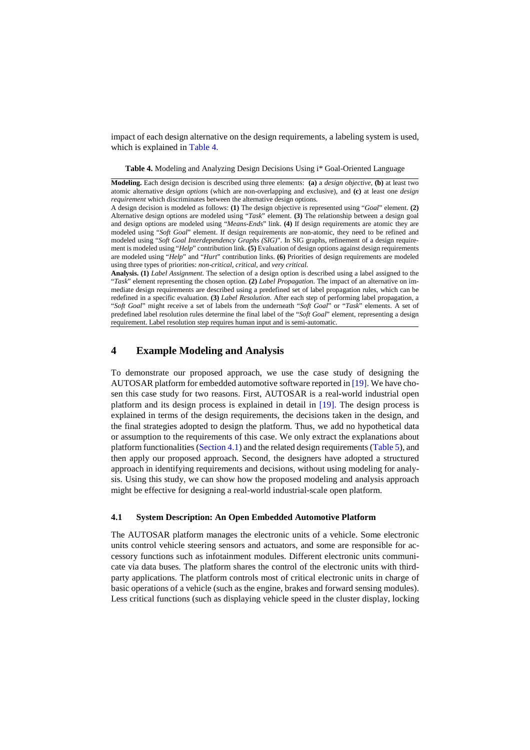impact of each design alternative on the design requirements, a labeling system is used, which is explained in Table 4.

**Table 4.** Modeling and Analyzing Design Decisions Using i\* Goal-Oriented Language

**Modeling.** Each design decision is described using three elements: **(a)** a *design objective*, **(b)** at least two atomic alternative *design options* (which are non-overlapping and exclusive), and **(c)** at least one *design requirement* which discriminates between the alternative design options.

A design decision is modeled as follows: **(1)** The design objective is represented using "*Goal*" element. **(2)** Alternative design options are modeled using "*Task*" element. **(3)** The relationship between a design goal and design options are modeled using "*Means-Ends*" link. **(4)** If design requirements are atomic they are modeled using "*Soft Goal*" element. If design requirements are non-atomic, they need to be refined and modeled using "*Soft Goal Interdependency Graphs (SIG)*". In SIG graphs, refinement of a design requirement is modeled using "*Help*" contribution link. **(5)** Evaluation of design options against design requirements are modeled using "*Help*" and "*Hurt*" contribution links. **(6)** Priorities of design requirements are modeled using three types of priorities: *non-critical*, *critical*, and *very critical*.

**Analysis. (1)** *Label Assignment*. The selection of a design option is described using a label assigned to the "*Task*" element representing the chosen option. **(2)** *Label Propagation*. The impact of an alternative on immediate design requirements are described using a predefined set of label propagation rules, which can be redefined in a specific evaluation. **(3)** *Label Resolution*. After each step of performing label propagation, a "*Soft Goal*" might receive a set of labels from the underneath "*Soft Goal*" or "*Task*" elements. A set of predefined label resolution rules determine the final label of the "*Soft Goal*" element, representing a design requirement. Label resolution step requires human input and is semi-automatic.

## **4 Example Modeling and Analysis**

To demonstrate our proposed approach, we use the case study of designing the AUTOSAR platform for embedded automotive software reported in [19]. We have chosen this case study for two reasons. First, AUTOSAR is a real-world industrial open platform and its design process is explained in detail in [19]. The design process is explained in terms of the design requirements, the decisions taken in the design, and the final strategies adopted to design the platform. Thus, we add no hypothetical data or assumption to the requirements of this case. We only extract the explanations about platform functionalities (Section 4.1) and the related design requirements (Table 5), and then apply our proposed approach. Second, the designers have adopted a structured approach in identifying requirements and decisions, without using modeling for analysis. Using this study, we can show how the proposed modeling and analysis approach might be effective for designing a real-world industrial-scale open platform.

### **4.1 System Description: An Open Embedded Automotive Platform**

The AUTOSAR platform manages the electronic units of a vehicle. Some electronic units control vehicle steering sensors and actuators, and some are responsible for accessory functions such as infotainment modules. Different electronic units communicate via data buses. The platform shares the control of the electronic units with thirdparty applications. The platform controls most of critical electronic units in charge of basic operations of a vehicle (such as the engine, brakes and forward sensing modules). Less critical functions (such as displaying vehicle speed in the cluster display, locking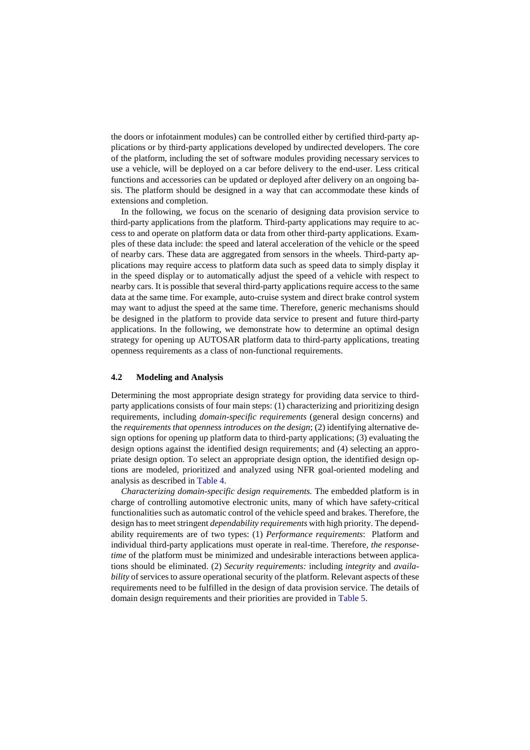the doors or infotainment modules) can be controlled either by certified third-party applications or by third-party applications developed by undirected developers. The core of the platform, including the set of software modules providing necessary services to use a vehicle, will be deployed on a car before delivery to the end-user. Less critical functions and accessories can be updated or deployed after delivery on an ongoing basis. The platform should be designed in a way that can accommodate these kinds of extensions and completion.

In the following, we focus on the scenario of designing data provision service to third-party applications from the platform. Third-party applications may require to access to and operate on platform data or data from other third-party applications. Examples of these data include: the speed and lateral acceleration of the vehicle or the speed of nearby cars. These data are aggregated from sensors in the wheels. Third-party applications may require access to platform data such as speed data to simply display it in the speed display or to automatically adjust the speed of a vehicle with respect to nearby cars. It is possible that several third-party applications require access to the same data at the same time. For example, auto-cruise system and direct brake control system may want to adjust the speed at the same time. Therefore, generic mechanisms should be designed in the platform to provide data service to present and future third-party applications. In the following, we demonstrate how to determine an optimal design strategy for opening up AUTOSAR platform data to third-party applications, treating openness requirements as a class of non-functional requirements.

### **4.2 Modeling and Analysis**

Determining the most appropriate design strategy for providing data service to thirdparty applications consists of four main steps: (1) characterizing and prioritizing design requirements, including *domain-specific requirements* (general design concerns) and the *requirements that openness introduces on the design*; (2) identifying alternative design options for opening up platform data to third-party applications; (3) evaluating the design options against the identified design requirements; and (4) selecting an appropriate design option. To select an appropriate design option, the identified design options are modeled, prioritized and analyzed using NFR goal-oriented modeling and analysis as described in Table 4.

*Characterizing domain-specific design requirements.* The embedded platform is in charge of controlling automotive electronic units, many of which have safety-critical functionalities such as automatic control of the vehicle speed and brakes. Therefore, the design has to meet stringent *dependability requirements* with high priority. The dependability requirements are of two types: (1) *Performance requirements*: Platform and individual third-party applications must operate in real-time. Therefore, *the responsetime* of the platform must be minimized and undesirable interactions between applications should be eliminated. (2) *Security requirements:* including *integrity* and *availability* of services to assure operational security of the platform. Relevant aspects of these requirements need to be fulfilled in the design of data provision service. The details of domain design requirements and their priorities are provided in Table 5.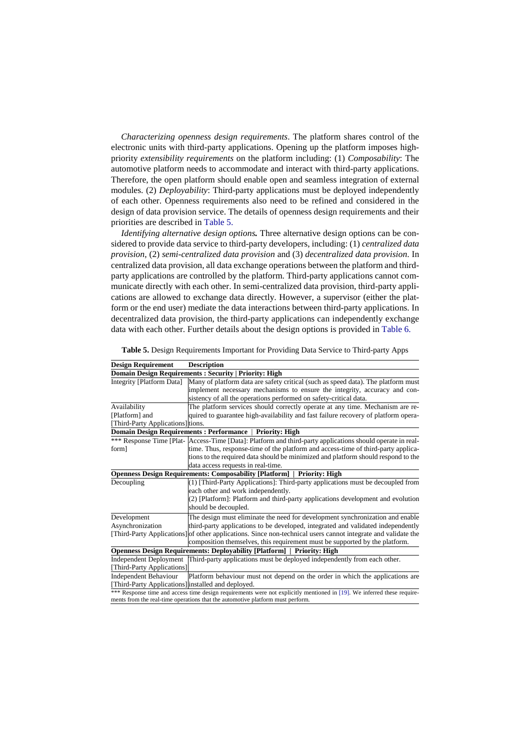*Characterizing openness design requirements*. The platform shares control of the electronic units with third-party applications. Opening up the platform imposes highpriority *extensibility requirements* on the platform including: (1) *Composability*: The automotive platform needs to accommodate and interact with third-party applications. Therefore, the open platform should enable open and seamless integration of external modules. (2) *Deployability*: Third-party applications must be deployed independently of each other. Openness requirements also need to be refined and considered in the design of data provision service. The details of openness design requirements and their priorities are described in Table 5.

*Identifying alternative design options.* Three alternative design options can be considered to provide data service to third-party developers, including: (1) *centralized data provision*, (2) *semi-centralized data provision* and (3) *decentralized data provision*. In centralized data provision, all data exchange operations between the platform and thirdparty applications are controlled by the platform. Third-party applications cannot communicate directly with each other. In semi-centralized data provision, third-party applications are allowed to exchange data directly. However, a supervisor (either the platform or the end user) mediate the data interactions between third-party applications. In decentralized data provision, the third-party applications can independently exchange data with each other. Further details about the design options is provided in Table 6.

| <b>Design Requirement</b>                                                          | <b>Description</b>                                                                                                                                                                                                                                                                                                                                                |
|------------------------------------------------------------------------------------|-------------------------------------------------------------------------------------------------------------------------------------------------------------------------------------------------------------------------------------------------------------------------------------------------------------------------------------------------------------------|
|                                                                                    | Domain Design Requirements: Security   Priority: High                                                                                                                                                                                                                                                                                                             |
| Integrity [Platform Data]                                                          | Many of platform data are safety critical (such as speed data). The platform must<br>implement necessary mechanisms to ensure the integrity, accuracy and con-<br>sistency of all the operations performed on safety-critical data.                                                                                                                               |
| Availability<br>[Platform] and<br>[Third-Party Applications] tions.                | The platform services should correctly operate at any time. Mechanism are re-<br>quired to guarantee high-availability and fast failure recovery of platform opera-                                                                                                                                                                                               |
|                                                                                    | Domain Design Requirements: Performance   Priority: High                                                                                                                                                                                                                                                                                                          |
| form]                                                                              | *** Response Time [Plat- Access-Time [Data]: Platform and third-party applications should operate in real-<br>time. Thus, response-time of the platform and access-time of third-party applica-<br>tions to the required data should be minimized and platform should respond to the<br>data access requests in real-time.                                        |
|                                                                                    | Openness Design Requirements: Composability [Platform]   Priority: High                                                                                                                                                                                                                                                                                           |
| Decoupling                                                                         | (1) [Third-Party Applications]: Third-party applications must be decoupled from<br>each other and work independently.<br>(2) [Platform]: Platform and third-party applications development and evolution<br>should be decoupled.                                                                                                                                  |
| Development<br>Asynchronization                                                    | The design must eliminate the need for development synchronization and enable<br>third-party applications to be developed, integrated and validated independently<br>[Third-Party Applications] of other applications. Since non-technical users cannot integrate and validate the<br>composition themselves, this requirement must be supported by the platform. |
|                                                                                    | <b>Openness Design Requirements: Deployability [Platform]   Priority: High</b>                                                                                                                                                                                                                                                                                    |
| Independent Deployment<br>[Third-Party Applications]                               | Third-party applications must be deployed independently from each other.                                                                                                                                                                                                                                                                                          |
| <b>Independent Behaviour</b><br>[Third-Party Applications] installed and deployed. | Platform behaviour must not depend on the order in which the applications are                                                                                                                                                                                                                                                                                     |
|                                                                                    | *** Response time and access time design requirements were not explicitly mentioned in [19]. We inferred these require-<br>ments from the real-time operations that the automotive platform must perform.                                                                                                                                                         |

**Table 5.** Design Requirements Important for Providing Data Service to Third-party Apps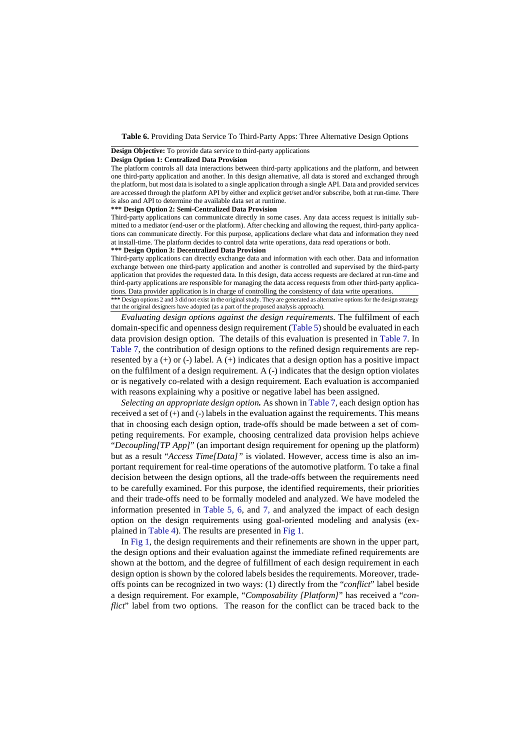#### **Table 6.** Providing Data Service To Third-Party Apps: Three Alternative Design Options

**Design Objective:** To provide data service to third-party applications

#### **Design Option 1: Centralized Data Provision**

The platform controls all data interactions between third-party applications and the platform, and between one third-party application and another. In this design alternative, all data is stored and exchanged through the platform, but most data is isolated to a single application through a single API. Data and provided services are accessed through the platform API by either and explicit get/set and/or subscribe, both at run-time. There is also and API to determine the available data set at runtime.

**\*\*\* Design Option 2: Semi-Centralized Data Provision** 

Third-party applications can communicate directly in some cases. Any data access request is initially submitted to a mediator (end-user or the platform). After checking and allowing the request, third-party applications can communicate directly. For this purpose, applications declare what data and information they need at install-time. The platform decides to control data write operations, data read operations or both.

#### **\*\*\* Design Option 3: Decentralized Data Provision**

Third-party applications can directly exchange data and information with each other. Data and information exchange between one third-party application and another is controlled and supervised by the third-party application that provides the requested data. In this design, data access requests are declared at run-time and third-party applications are responsible for managing the data access requests from other third-party applications. Data provider application is in charge of controlling the consistency of data write operations.

**\*\*\*** Design options 2 and 3 did not exist in the original study. They are generated as alternative options for the design strategy that the original designers have adopted (as a part of the proposed analysis approach).

*Evaluating design options against the design requirements*. The fulfilment of each domain-specific and openness design requirement (Table 5) should be evaluated in each data provision design option. The details of this evaluation is presented in Table 7. In Table 7, the contribution of design options to the refined design requirements are represented by a  $(+)$  or  $(-)$  label. A  $(+)$  indicates that a design option has a positive impact on the fulfilment of a design requirement. A (-) indicates that the design option violates or is negatively co-related with a design requirement. Each evaluation is accompanied with reasons explaining why a positive or negative label has been assigned.

*Selecting an appropriate design option.* As shown in Table 7, each design option has received a set of  $(+)$  and  $(-)$  labels in the evaluation against the requirements. This means that in choosing each design option, trade-offs should be made between a set of competing requirements. For example, choosing centralized data provision helps achieve "*Decoupling[TP App]*" (an important design requirement for opening up the platform) but as a result "*Access Time[Data]"* is violated. However, access time is also an important requirement for real-time operations of the automotive platform. To take a final decision between the design options, all the trade-offs between the requirements need to be carefully examined. For this purpose, the identified requirements, their priorities and their trade-offs need to be formally modeled and analyzed. We have modeled the information presented in Table 5, 6, and 7, and analyzed the impact of each design option on the design requirements using goal-oriented modeling and analysis (explained in Table 4). The results are presented in Fig 1.

In Fig 1, the design requirements and their refinements are shown in the upper part, the design options and their evaluation against the immediate refined requirements are shown at the bottom, and the degree of fulfillment of each design requirement in each design option is shown by the colored labels besides the requirements. Moreover, tradeoffs points can be recognized in two ways: (1) directly from the "*conflict*" label beside a design requirement. For example, "*Composability [Platform]*" has received a "*conflict*" label from two options. The reason for the conflict can be traced back to the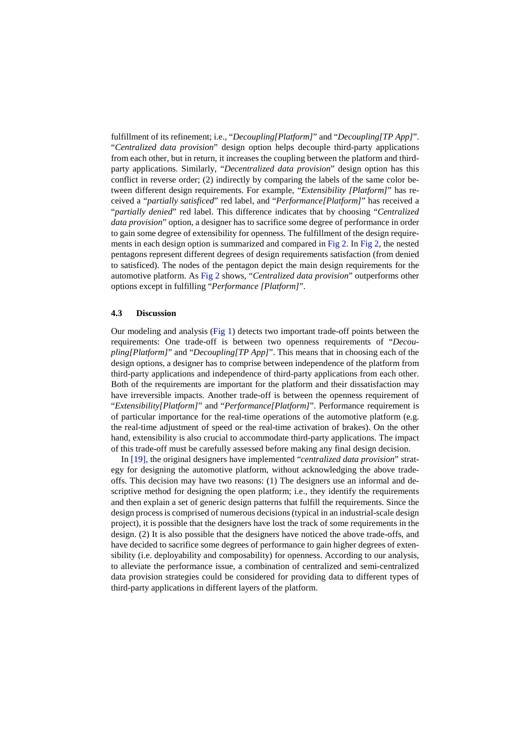fulfillment of its refinement; i.e., "*Decoupling[Platform]*" and "*Decoupling[TP App]*". "*Centralized data provision*" design option helps decouple third-party applications from each other, but in return, it increases the coupling between the platform and thirdparty applications. Similarly, "*Decentralized data provision*" design option has this conflict in reverse order; (2) indirectly by comparing the labels of the same color between different design requirements. For example, "*Extensibility [Platform]*" has received a "*partially satisficed*" red label, and "*Performance[Platform]*" has received a "*partially denied*" red label. This difference indicates that by choosing "*Centralized data provision*" option, a designer has to sacrifice some degree of performance in order to gain some degree of extensibility for openness. The fulfillment of the design requirements in each design option is summarized and compared in Fig 2. In Fig 2, the nested pentagons represent different degrees of design requirements satisfaction (from denied to satisficed). The nodes of the pentagon depict the main design requirements for the automotive platform. As Fig 2 shows, "*Centralized data provision*" outperforms other options except in fulfilling "*Performance [Platform]*".

### **4.3 Discussion**

Our modeling and analysis (Fig 1) detects two important trade-off points between the requirements: One trade-off is between two openness requirements of "*Decoupling[Platform]*" and "*Decoupling[TP App]*". This means that in choosing each of the design options, a designer has to comprise between independence of the platform from third-party applications and independence of third-party applications from each other. Both of the requirements are important for the platform and their dissatisfaction may have irreversible impacts. Another trade-off is between the openness requirement of "*Extensibility[Platform]*" and "*Performance[Platform]*". Performance requirement is of particular importance for the real-time operations of the automotive platform (e.g. the real-time adjustment of speed or the real-time activation of brakes). On the other hand, extensibility is also crucial to accommodate third-party applications. The impact of this trade-off must be carefully assessed before making any final design decision.

In [19], the original designers have implemented "*centralized data provision*" strategy for designing the automotive platform, without acknowledging the above tradeoffs. This decision may have two reasons: (1) The designers use an informal and descriptive method for designing the open platform; i.e., they identify the requirements and then explain a set of generic design patterns that fulfill the requirements. Since the design process is comprised of numerous decisions (typical in an industrial-scale design project), it is possible that the designers have lost the track of some requirements in the design. (2) It is also possible that the designers have noticed the above trade-offs, and have decided to sacrifice some degrees of performance to gain higher degrees of extensibility (i.e. deployability and composability) for openness. According to our analysis, to alleviate the performance issue, a combination of centralized and semi-centralized data provision strategies could be considered for providing data to different types of third-party applications in different layers of the platform.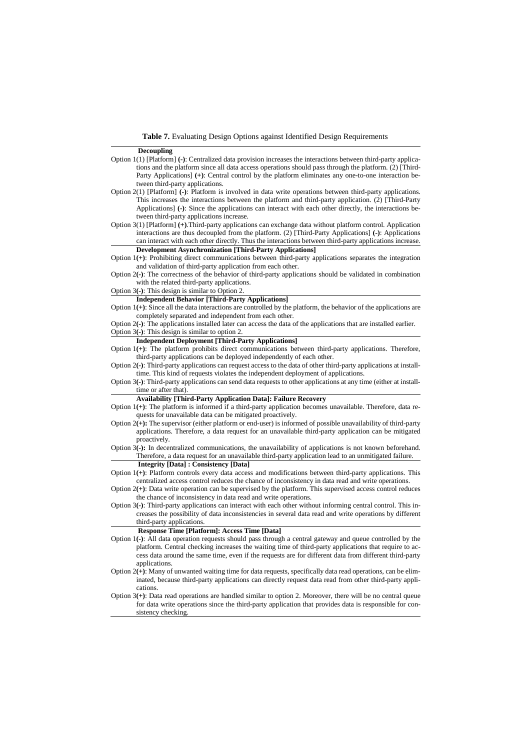**Table 7.** Evaluating Design Options against Identified Design Requirements

#### **Decoupling**

- Option 1(1) [Platform] **(-)**: Centralized data provision increases the interactions between third-party applications and the platform since all data access operations should pass through the platform. (2) [Third-Party Applications] (+): Central control by the platform eliminates any one-to-one interaction between third-party applications.
- Option 2(1) [Platform] **(-)**: Platform is involved in data write operations between third-party applications. This increases the interactions between the platform and third-party application. (2) [Third-Party Applications] **(-)**: Since the applications can interact with each other directly, the interactions between third-party applications increase.
- Option 3(1) [Platform] **(+)**.Third-party applications can exchange data without platform control. Application interactions are thus decoupled from the platform. (2) [Third-Party Applications] **(-)**: Applications can interact with each other directly. Thus the interactions between third-party applications increase.

## **Development Asynchronization [Third-Party Applications]**

- Option 1**(+)**: Prohibiting direct communications between third-party applications separates the integration and validation of third-party application from each other.
- Option 2**(-)**: The correctness of the behavior of third-party applications should be validated in combination with the related third-party applications.
- Option 3**(-)**: This design is similar to Option 2.

#### **Independent Behavior [Third-Party Applications]**

Option 1**(+)**: Since all the data interactions are controlled by the platform, the behavior of the applications are completely separated and independent from each other.

Option 2**(-)**: The applications installed later can access the data of the applications that are installed earlier. Option 3**(-)**: This design is similar to option 2.

#### **Independent Deployment [Third-Party Applications]**

- Option 1**(+)**: The platform prohibits direct communications between third-party applications. Therefore, third-party applications can be deployed independently of each other.
- Option 2**(-)**: Third-party applications can request access to the data of other third-party applications at installtime. This kind of requests violates the independent deployment of applications.
- Option 3**(-)**: Third-party applications can send data requests to other applications at any time (either at installtime or after that).

### **Availability [Third-Party Application Data]: Failure Recovery**

- Option 1**(+)**: The platform is informed if a third-party application becomes unavailable. Therefore, data requests for unavailable data can be mitigated proactively.
- Option 2**(+):** The supervisor (either platform or end-user) is informed of possible unavailability of third-party applications. Therefore, a data request for an unavailable third-party application can be mitigated proactively.
- Option 3**(-):** In decentralized communications, the unavailability of applications is not known beforehand. Therefore, a data request for an unavailable third-party application lead to an unmitigated failure. **Integrity [Data] : Consistency [Data]**
- Option 1**(+)**: Platform controls every data access and modifications between third-party applications. This centralized access control reduces the chance of inconsistency in data read and write operations.
- Option 2**(+)**: Data write operation can be supervised by the platform. This supervised access control reduces the chance of inconsistency in data read and write operations.
- Option 3**(-)**: Third-party applications can interact with each other without informing central control. This increases the possibility of data inconsistencies in several data read and write operations by different third-party applications.

### **Response Time [Platform]: Access Time [Data]**

- Option 1**(-)**: All data operation requests should pass through a central gateway and queue controlled by the platform. Central checking increases the waiting time of third-party applications that require to access data around the same time, even if the requests are for different data from different third-party applications.
- Option 2**(+)**: Many of unwanted waiting time for data requests, specifically data read operations, can be eliminated, because third-party applications can directly request data read from other third-party applications.
- Option 3**(+)**: Data read operations are handled similar to option 2. Moreover, there will be no central queue for data write operations since the third-party application that provides data is responsible for consistency checking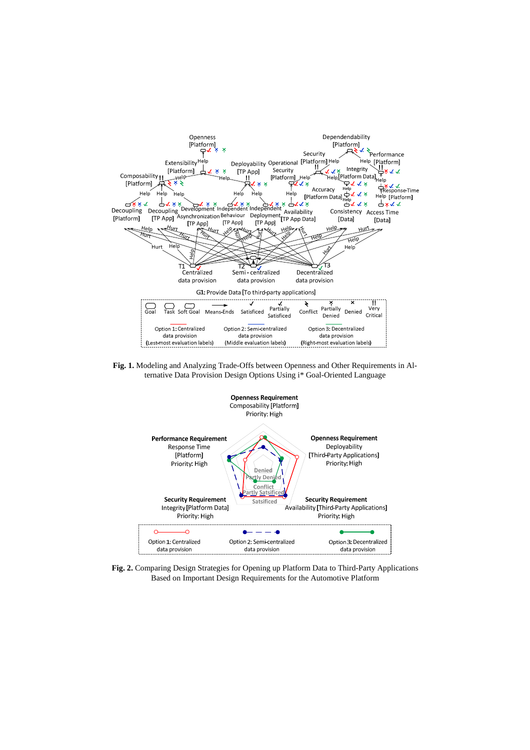

**Fig. 1.** Modeling and Analyzing Trade-Offs between Openness and Other Requirements in Alternative Data Provision Design Options Using i\* Goal-Oriented Language



**Fig. 2.** Comparing Design Strategies for Opening up Platform Data to Third-Party Applications Based on Important Design Requirements for the Automotive Platform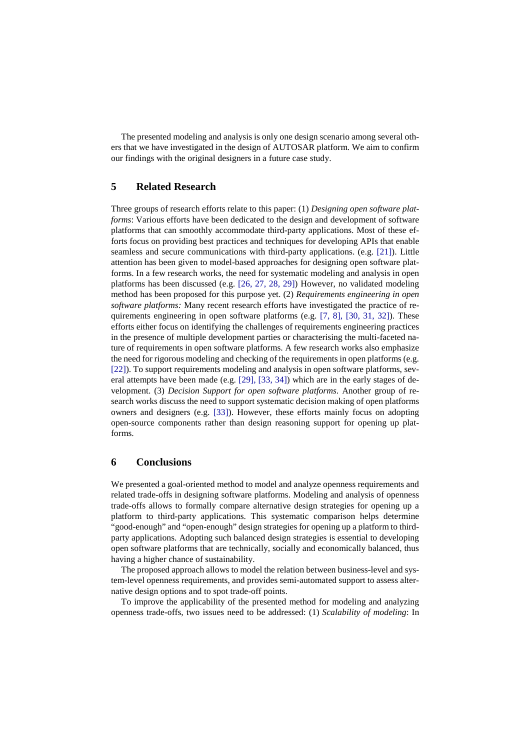The presented modeling and analysis is only one design scenario among several others that we have investigated in the design of AUTOSAR platform. We aim to confirm our findings with the original designers in a future case study.

## **5 Related Research**

Three groups of research efforts relate to this paper: (1) *Designing open software platforms*: Various efforts have been dedicated to the design and development of software platforms that can smoothly accommodate third-party applications. Most of these efforts focus on providing best practices and techniques for developing APIs that enable seamless and secure communications with third-party applications. (e.g. [21]). Little attention has been given to model-based approaches for designing open software platforms. In a few research works, the need for systematic modeling and analysis in open platforms has been discussed (e.g. [26, 27, 28, 29]) However, no validated modeling method has been proposed for this purpose yet. (2) *Requirements engineering in open software platforms:* Many recent research efforts have investigated the practice of requirements engineering in open software platforms (e.g. [7, 8], [30, 31, 32]). These efforts either focus on identifying the challenges of requirements engineering practices in the presence of multiple development parties or characterising the multi-faceted nature of requirements in open software platforms. A few research works also emphasize the need for rigorous modeling and checking of the requirements in open platforms (e.g. [22]). To support requirements modeling and analysis in open software platforms, several attempts have been made (e.g. [29], [33, 34]) which are in the early stages of development. (3) *Decision Support for open software platforms*. Another group of research works discuss the need to support systematic decision making of open platforms owners and designers (e.g. [33]). However, these efforts mainly focus on adopting open-source components rather than design reasoning support for opening up platforms.

## **6 Conclusions**

We presented a goal-oriented method to model and analyze openness requirements and related trade-offs in designing software platforms. Modeling and analysis of openness trade-offs allows to formally compare alternative design strategies for opening up a platform to third-party applications. This systematic comparison helps determine "good-enough" and "open-enough" design strategies for opening up a platform to thirdparty applications. Adopting such balanced design strategies is essential to developing open software platforms that are technically, socially and economically balanced, thus having a higher chance of sustainability.

The proposed approach allows to model the relation between business-level and system-level openness requirements, and provides semi-automated support to assess alternative design options and to spot trade-off points.

To improve the applicability of the presented method for modeling and analyzing openness trade-offs, two issues need to be addressed: (1) *Scalability of modeling*: In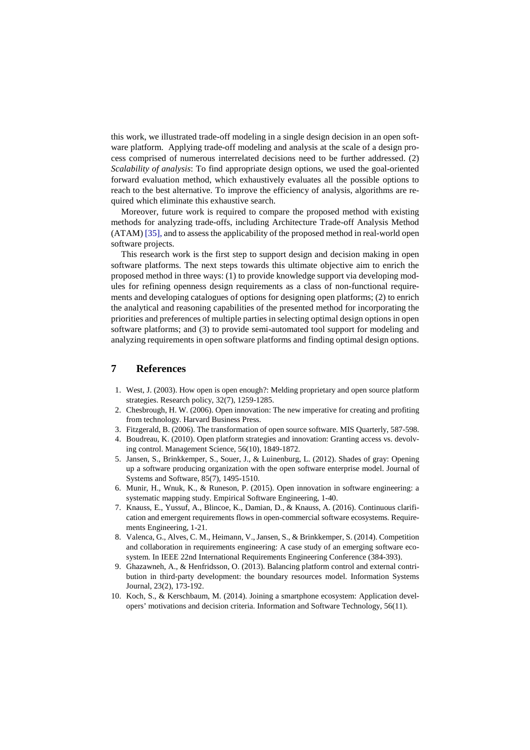this work, we illustrated trade-off modeling in a single design decision in an open software platform. Applying trade-off modeling and analysis at the scale of a design process comprised of numerous interrelated decisions need to be further addressed. (2) *Scalability of analysis*: To find appropriate design options, we used the goal-oriented forward evaluation method, which exhaustively evaluates all the possible options to reach to the best alternative. To improve the efficiency of analysis, algorithms are required which eliminate this exhaustive search.

Moreover, future work is required to compare the proposed method with existing methods for analyzing trade-offs, including Architecture Trade-off Analysis Method (ATAM) [35], and to assess the applicability of the proposed method in real-world open software projects.

This research work is the first step to support design and decision making in open software platforms. The next steps towards this ultimate objective aim to enrich the proposed method in three ways: (1) to provide knowledge support via developing modules for refining openness design requirements as a class of non-functional requirements and developing catalogues of options for designing open platforms; (2) to enrich the analytical and reasoning capabilities of the presented method for incorporating the priorities and preferences of multiple parties in selecting optimal design options in open software platforms; and (3) to provide semi-automated tool support for modeling and analyzing requirements in open software platforms and finding optimal design options.

## **7 References**

- 1. West, J. (2003). How open is open enough?: Melding proprietary and open source platform strategies. Research policy, 32(7), 1259-1285.
- 2. Chesbrough, H. W. (2006). Open innovation: The new imperative for creating and profiting from technology. Harvard Business Press.
- 3. Fitzgerald, B. (2006). The transformation of open source software. MIS Quarterly, 587-598.
- 4. Boudreau, K. (2010). Open platform strategies and innovation: Granting access vs. devolving control. Management Science, 56(10), 1849-1872.
- 5. Jansen, S., Brinkkemper, S., Souer, J., & Luinenburg, L. (2012). Shades of gray: Opening up a software producing organization with the open software enterprise model. Journal of Systems and Software, 85(7), 1495-1510.
- 6. Munir, H., Wnuk, K., & Runeson, P. (2015). Open innovation in software engineering: a systematic mapping study. Empirical Software Engineering, 1-40.
- 7. Knauss, E., Yussuf, A., Blincoe, K., Damian, D., & Knauss, A. (2016). Continuous clarification and emergent requirements flows in open-commercial software ecosystems. Requirements Engineering, 1-21.
- 8. Valenca, G., Alves, C. M., Heimann, V., Jansen, S., & Brinkkemper, S. (2014). Competition and collaboration in requirements engineering: A case study of an emerging software ecosystem. In IEEE 22nd International Requirements Engineering Conference (384-393).
- 9. Ghazawneh, A., & Henfridsson, O. (2013). Balancing platform control and external contribution in third‐party development: the boundary resources model. Information Systems Journal, 23(2), 173-192.
- 10. Koch, S., & Kerschbaum, M. (2014). Joining a smartphone ecosystem: Application developers' motivations and decision criteria. Information and Software Technology, 56(11).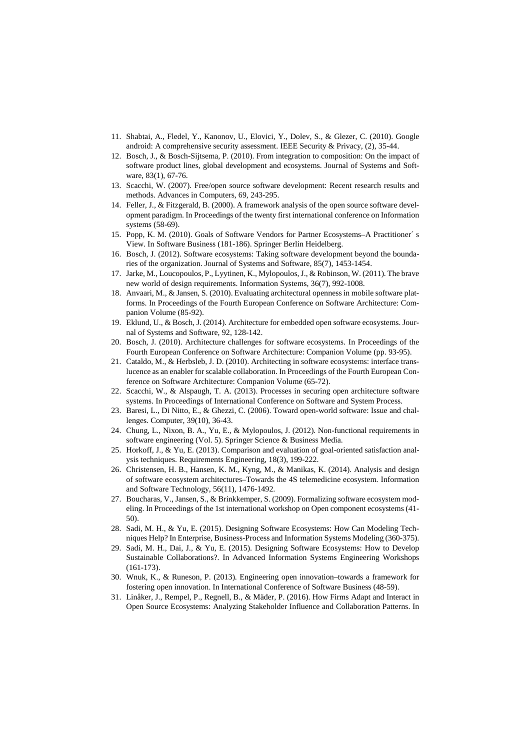- 11. Shabtai, A., Fledel, Y., Kanonov, U., Elovici, Y., Dolev, S., & Glezer, C. (2010). Google android: A comprehensive security assessment. IEEE Security  $\&$  Privacy, (2), 35-44.
- 12. Bosch, J., & Bosch-Sijtsema, P. (2010). From integration to composition: On the impact of software product lines, global development and ecosystems. Journal of Systems and Software, 83(1), 67-76.
- 13. Scacchi, W. (2007). Free/open source software development: Recent research results and methods. Advances in Computers, 69, 243-295.
- 14. Feller, J., & Fitzgerald, B. (2000). A framework analysis of the open source software development paradigm. In Proceedings of the twenty first international conference on Information systems (58-69).
- 15. Popp, K. M. (2010). Goals of Software Vendors for Partner Ecosystems–A Practitioner´ s View. In Software Business (181-186). Springer Berlin Heidelberg.
- 16. Bosch, J. (2012). Software ecosystems: Taking software development beyond the boundaries of the organization. Journal of Systems and Software, 85(7), 1453-1454.
- 17. Jarke, M., Loucopoulos, P., Lyytinen, K., Mylopoulos, J., & Robinson, W. (2011). The brave new world of design requirements. Information Systems, 36(7), 992-1008.
- 18. Anvaari, M., & Jansen, S. (2010). Evaluating architectural openness in mobile software platforms. In Proceedings of the Fourth European Conference on Software Architecture: Companion Volume (85-92).
- 19. Eklund, U., & Bosch, J. (2014). Architecture for embedded open software ecosystems. Journal of Systems and Software, 92, 128-142.
- 20. Bosch, J. (2010). Architecture challenges for software ecosystems. In Proceedings of the Fourth European Conference on Software Architecture: Companion Volume (pp. 93-95).
- 21. Cataldo, M., & Herbsleb, J. D. (2010). Architecting in software ecosystems: interface translucence as an enabler for scalable collaboration. In Proceedings of the Fourth European Conference on Software Architecture: Companion Volume (65-72).
- 22. Scacchi, W., & Alspaugh, T. A. (2013). Processes in securing open architecture software systems. In Proceedings of International Conference on Software and System Process.
- 23. Baresi, L., Di Nitto, E., & Ghezzi, C. (2006). Toward open-world software: Issue and challenges. Computer, 39(10), 36-43.
- 24. Chung, L., Nixon, B. A., Yu, E., & Mylopoulos, J. (2012). Non-functional requirements in software engineering (Vol. 5). Springer Science & Business Media.
- 25. Horkoff, J., & Yu, E. (2013). Comparison and evaluation of goal-oriented satisfaction analysis techniques. Requirements Engineering, 18(3), 199-222.
- 26. Christensen, H. B., Hansen, K. M., Kyng, M., & Manikas, K. (2014). Analysis and design of software ecosystem architectures–Towards the 4S telemedicine ecosystem. Information and Software Technology, 56(11), 1476-1492.
- 27. Boucharas, V., Jansen, S., & Brinkkemper, S. (2009). Formalizing software ecosystem modeling. In Proceedings of the 1st international workshop on Open component ecosystems (41- 50).
- 28. Sadi, M. H., & Yu, E. (2015). Designing Software Ecosystems: How Can Modeling Techniques Help? In Enterprise, Business-Process and Information Systems Modeling (360-375).
- 29. Sadi, M. H., Dai, J., & Yu, E. (2015). Designing Software Ecosystems: How to Develop Sustainable Collaborations?. In Advanced Information Systems Engineering Workshops (161-173).
- 30. Wnuk, K., & Runeson, P. (2013). Engineering open innovation–towards a framework for fostering open innovation. In International Conference of Software Business (48-59).
- 31. Linåker, J., Rempel, P., Regnell, B., & Mäder, P. (2016). How Firms Adapt and Interact in Open Source Ecosystems: Analyzing Stakeholder Influence and Collaboration Patterns. In